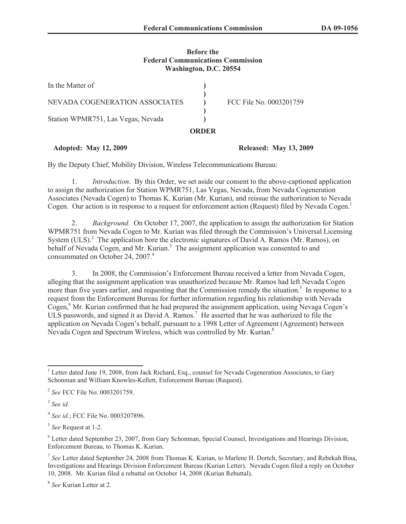## **Before the Federal Communications Commission Washington, D.C. 20554**

|                                    | <b>ORDER</b> |                         |
|------------------------------------|--------------|-------------------------|
| Station WPMR751, Las Vegas, Nevada |              |                         |
| NEVADA COGENERATION ASSOCIATES     |              | FCC File No. 0003201759 |
| In the Matter of                   |              |                         |

## **Adopted: May 12, 2009 Released: May 13, 2009**

By the Deputy Chief, Mobility Division, Wireless Telecommunications Bureau:

1. *Introduction*. By this Order, we set aside our consent to the above-captioned application to assign the authorization for Station WPMR751, Las Vegas, Nevada, from Nevada Cogeneration Associates (Nevada Cogen) to Thomas K. Kurian (Mr. Kurian), and reissue the authorization to Nevada Cogen. Our action is in response to a request for enforcement action (Request) filed by Nevada Cogen.<sup>1</sup>

2. *Background.* On October 17, 2007, the application to assign the authorization for Station WPMR751 from Nevada Cogen to Mr. Kurian was filed through the Commission's Universal Licensing System (ULS).<sup>2</sup> The application bore the electronic signatures of David A. Ramos (Mr. Ramos), on behalf of Nevada Cogen, and Mr. Kurian.<sup>3</sup> The assignment application was consented to and consummated on October 24, 2007.<sup>4</sup>

3. In 2008, the Commission's Enforcement Bureau received a letter from Nevada Cogen, alleging that the assignment application was unauthorized because Mr. Ramos had left Nevada Cogen more than five years earlier, and requesting that the Commission remedy the situation.<sup>5</sup> In response to a request from the Enforcement Bureau for further information regarding his relationship with Nevada Cogen,<sup>6</sup> Mr. Kurian confirmed that he had prepared the assignment application, using Nevaga Cogen's ULS passwords, and signed it as David A. Ramos.<sup>7</sup> He asserted that he was authorized to file the application on Nevada Cogen's behalf, pursuant to a 1998 Letter of Agreement (Agreement) between Nevada Cogen and Spectrum Wireless, which was controlled by Mr. Kurian.<sup>8</sup>

<sup>&</sup>lt;sup>1</sup> Letter dated June 19, 2008, from Jack Richard, Esq., counsel for Nevada Cogeneration Associates, to Gary Schonman and William Knowles-Kellett, Enforcement Bureau (Request).

<sup>2</sup> *See* FCC File No. 0003201759.

<sup>3</sup> *See id.*

<sup>4</sup> *See id.*; FCC File No. 0003207896.

<sup>5</sup> *See* Request at 1-2.

<sup>6</sup> Letter dated September 23, 2007, from Gary Schonman, Special Counsel, Investigations and Hearings Division, Enforcement Bureau, to Thomas K. Kurian.

<sup>7</sup> *See* Letter dated September 24, 2008 from Thomas K. Kurian, to Marlene H. Dortch, Secretary, and Rebekah Bina, Investigations and Hearings Division Enforcement Bureau (Kurian Letter). Nevada Cogen filed a reply on October 10, 2008. Mr. Kurian filed a rebuttal on October 14, 2008 (Kurian Rebuttal).

<sup>8</sup> *See* Kurian Letter at 2.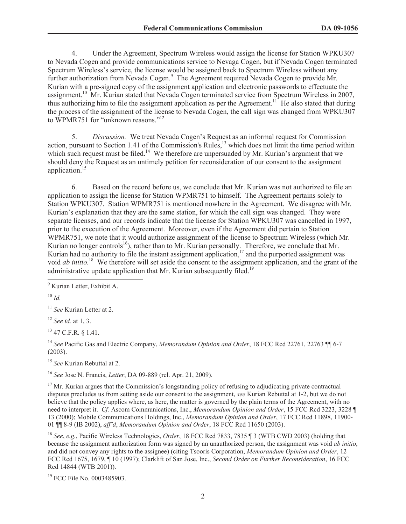4. Under the Agreement, Spectrum Wireless would assign the license for Station WPKU307 to Nevada Cogen and provide communications service to Nevaga Cogen, but if Nevada Cogen terminated Spectrum Wireless's service, the license would be assigned back to Spectrum Wireless without any further authorization from Nevada Cogen.<sup>9</sup> The Agreement required Nevada Cogen to provide Mr. Kurian with a pre-signed copy of the assignment application and electronic passwords to effectuate the assignment.<sup>10</sup> Mr. Kurian stated that Nevada Cogen terminated service from Spectrum Wireless in 2007, thus authorizing him to file the assignment application as per the Agreement.<sup>11</sup> He also stated that during the process of the assignment of the license to Nevada Cogen, the call sign was changed from WPKU307 to WPMR751 for "unknown reasons."<sup>12</sup>

5. *Discussion.* We treat Nevada Cogen's Request as an informal request for Commission action, pursuant to Section 1.41 of the Commission's Rules,<sup>13</sup> which does not limit the time period within which such request must be filed.<sup>14</sup> We therefore are unpersuaded by Mr. Kurian's argument that we should deny the Request as an untimely petition for reconsideration of our consent to the assignment application.<sup>15</sup>

6. Based on the record before us, we conclude that Mr. Kurian was not authorized to file an application to assign the license for Station WPMR751 to himself. The Agreement pertains solely to Station WPKU307. Station WPMR751 is mentioned nowhere in the Agreement. We disagree with Mr. Kurian's explanation that they are the same station, for which the call sign was changed. They were separate licenses, and our records indicate that the license for Station WPKU307 was cancelled in 1997, prior to the execution of the Agreement. Moreover, even if the Agreement did pertain to Station WPMR751, we note that it would authorize assignment of the license to Spectrum Wireless (which Mr. Kurian no longer controls<sup>16</sup>), rather than to Mr. Kurian personally. Therefore, we conclude that Mr. Kurian had no authority to file the instant assignment application, $17$  and the purported assignment was void *ab initio.*<sup>18</sup> We therefore will set aside the consent to the assignment application, and the grant of the administrative update application that Mr. Kurian subsequently filed.<sup>19</sup>

 $10 \,$ *Id.* 

<sup>12</sup> *See id.* at 1, 3.

<sup>13</sup> 47 C.F.R. § 1.41.

<sup>14</sup> *See* Pacific Gas and Electric Company, *Memorandum Opinion and Order*, 18 FCC Rcd 22761, 22763 ¶¶ 6-7 (2003).

<sup>15</sup> *See* Kurian Rebuttal at 2.

<sup>16</sup> *See* Jose N. Francis, *Letter*, DA 09-889 (rel. Apr. 21, 2009).

 $17$  Mr. Kurian argues that the Commission's longstanding policy of refusing to adjudicating private contractual disputes precludes us from setting aside our consent to the assignment, *see* Kurian Rebuttal at 1-2, but we do not believe that the policy applies where, as here, the matter is governed by the plain terms of the Agreement, with no need to interpret it. *Cf.* Ascom Communications, Inc., *Memorandum Opinion and Order*, 15 FCC Rcd 3223, 3228 ¶ 13 (2000); Mobile Communications Holdings, Inc., *Memorandum Opinion and Order*, 17 FCC Rcd 11898, 11900- 01 ¶¶ 8-9 (IB 2002), *aff'd*, *Memorandum Opinion and Order*, 18 FCC Rcd 11650 (2003).

<sup>18</sup> *See*, *e.g.*, Pacific Wireless Technologies, *Order*, 18 FCC Rcd 7833, 7835 ¶ 3 (WTB CWD 2003) (holding that because the assignment authorization form was signed by an unauthorized person, the assignment was void *ab initio*, and did not convey any rights to the assignee) (citing Tsooris Corporation, *Memorandum Opinion and Order*, 12 FCC Rcd 1675, 1679, ¶ 10 (1997); Clarklift of San Jose, Inc., *Second Order on Further Reconsideration*, 16 FCC Rcd 14844 (WTB 2001)).

<sup>19</sup> FCC File No. 0003485903.

<sup>9</sup> Kurian Letter, Exhibit A.

<sup>11</sup> *See* Kurian Letter at 2.